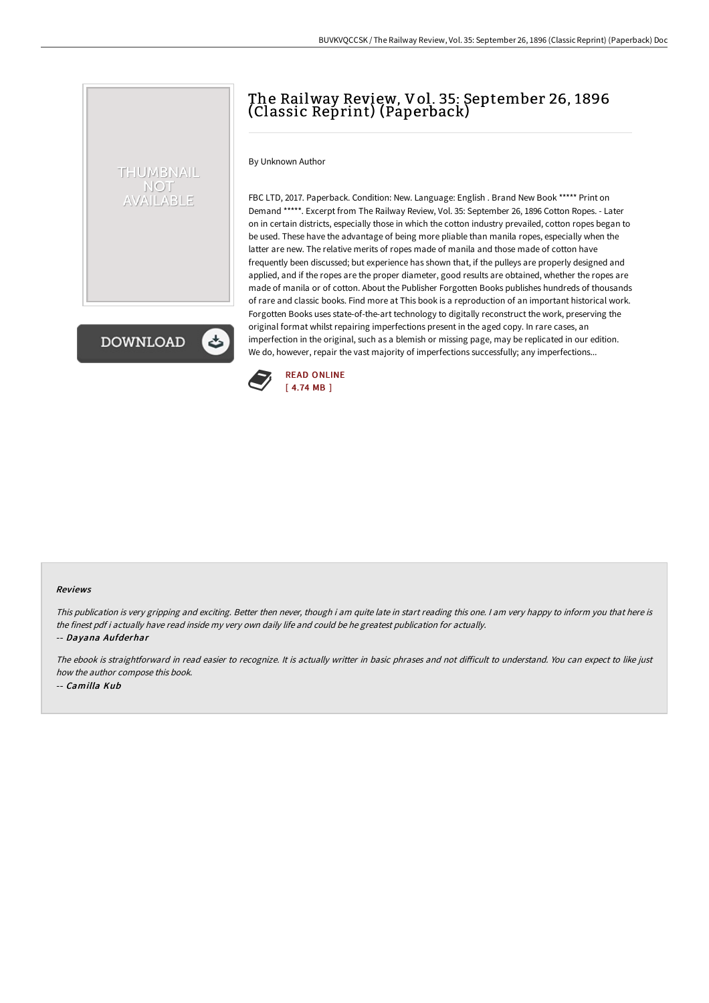## The Railway Review, Vol. 35: September 26, 1896 (Classic Reprint) (Paperback)

By Unknown Author

THUMBNAIL NOT AVAILABLE

**DOWNLOAD** 

FBC LTD, 2017. Paperback. Condition: New. Language: English . Brand New Book \*\*\*\*\* Print on Demand \*\*\*\*\*. Excerpt from The Railway Review, Vol. 35: September 26, 1896 Cotton Ropes. - Later on in certain districts, especially those in which the cotton industry prevailed, cotton ropes began to be used. These have the advantage of being more pliable than manila ropes, especially when the latter are new. The relative merits of ropes made of manila and those made of cotton have frequently been discussed; but experience has shown that, if the pulleys are properly designed and applied, and if the ropes are the proper diameter, good results are obtained, whether the ropes are made of manila or of cotton. About the Publisher Forgotten Books publishes hundreds of thousands of rare and classic books. Find more at This book is a reproduction of an important historical work. Forgotten Books uses state-of-the-art technology to digitally reconstruct the work, preserving the original format whilst repairing imperfections present in the aged copy. In rare cases, an imperfection in the original, such as a blemish or missing page, may be replicated in our edition. We do, however, repair the vast majority of imperfections successfully; any imperfections...



## Reviews

This publication is very gripping and exciting. Better then never, though i am quite late in start reading this one. <sup>I</sup> am very happy to inform you that here is the finest pdf i actually have read inside my very own daily life and could be he greatest publication for actually. -- Dayana Aufderhar

The ebook is straightforward in read easier to recognize. It is actually writter in basic phrases and not difficult to understand. You can expect to like just how the author compose this book. -- Camilla Kub